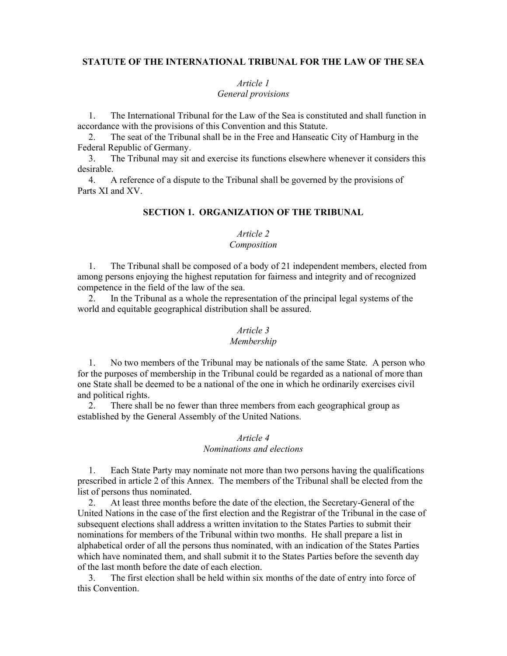#### **STATUTE OF THE INTERNATIONAL TRIBUNAL FOR THE LAW OF THE SEA**

#### *Article 1 General provisions*

1. The International Tribunal for the Law of the Sea is constituted and shall function in accordance with the provisions of this Convention and this Statute.

2. The seat of the Tribunal shall be in the Free and Hanseatic City of Hamburg in the Federal Republic of Germany.

3. The Tribunal may sit and exercise its functions elsewhere whenever it considers this desirable.

4. A reference of a dispute to the Tribunal shall be governed by the provisions of Parts XI and XV.

## **SECTION 1. ORGANIZATION OF THE TRIBUNAL**

## *Article 2*

#### *Composition*

1. The Tribunal shall be composed of a body of 21 independent members, elected from among persons enjoying the highest reputation for fairness and integrity and of recognized competence in the field of the law of the sea.

2. In the Tribunal as a whole the representation of the principal legal systems of the world and equitable geographical distribution shall be assured.

## *Article 3*

## *Membership*

1. No two members of the Tribunal may be nationals of the same State. A person who for the purposes of membership in the Tribunal could be regarded as a national of more than one State shall be deemed to be a national of the one in which he ordinarily exercises civil and political rights.

2. There shall be no fewer than three members from each geographical group as established by the General Assembly of the United Nations.

#### *Article 4 Nominations and elections*

1. Each State Party may nominate not more than two persons having the qualifications prescribed in article 2 of this Annex. The members of the Tribunal shall be elected from the list of persons thus nominated.

2. At least three months before the date of the election, the Secretary-General of the United Nations in the case of the first election and the Registrar of the Tribunal in the case of subsequent elections shall address a written invitation to the States Parties to submit their nominations for members of the Tribunal within two months. He shall prepare a list in alphabetical order of all the persons thus nominated, with an indication of the States Parties which have nominated them, and shall submit it to the States Parties before the seventh day of the last month before the date of each election.

3. The first election shall be held within six months of the date of entry into force of this Convention.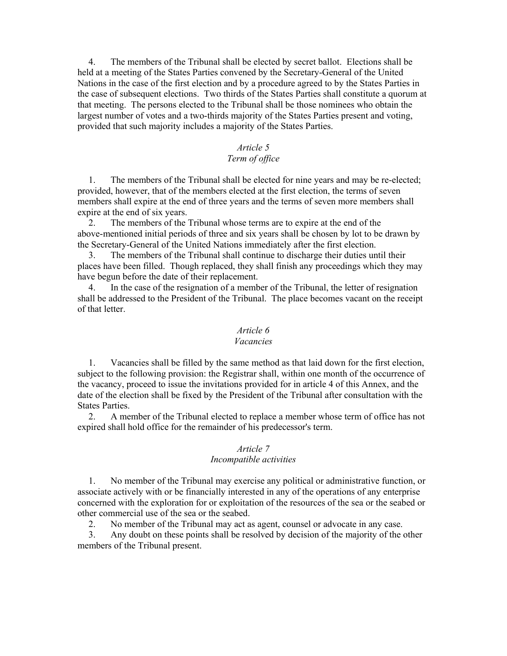4. The members of the Tribunal shall be elected by secret ballot. Elections shall be held at a meeting of the States Parties convened by the Secretary-General of the United Nations in the case of the first election and by a procedure agreed to by the States Parties in the case of subsequent elections. Two thirds of the States Parties shall constitute a quorum at that meeting. The persons elected to the Tribunal shall be those nominees who obtain the largest number of votes and a two-thirds majority of the States Parties present and voting, provided that such majority includes a majority of the States Parties.

# *Article 5*

## *Term of office*

1. The members of the Tribunal shall be elected for nine years and may be re-elected; provided, however, that of the members elected at the first election, the terms of seven members shall expire at the end of three years and the terms of seven more members shall expire at the end of six years.

2. The members of the Tribunal whose terms are to expire at the end of the above-mentioned initial periods of three and six years shall be chosen by lot to be drawn by the Secretary-General of the United Nations immediately after the first election.

3. The members of the Tribunal shall continue to discharge their duties until their places have been filled. Though replaced, they shall finish any proceedings which they may have begun before the date of their replacement.

4. In the case of the resignation of a member of the Tribunal, the letter of resignation shall be addressed to the President of the Tribunal. The place becomes vacant on the receipt of that letter.

# *Article 6*

## *Vacancies*

1. Vacancies shall be filled by the same method as that laid down for the first election, subject to the following provision: the Registrar shall, within one month of the occurrence of the vacancy, proceed to issue the invitations provided for in article 4 of this Annex, and the date of the election shall be fixed by the President of the Tribunal after consultation with the States Parties.

2. A member of the Tribunal elected to replace a member whose term of office has not expired shall hold office for the remainder of his predecessor's term.

#### *Article 7*

#### *Incompatible activities*

1. No member of the Tribunal may exercise any political or administrative function, or associate actively with or be financially interested in any of the operations of any enterprise concerned with the exploration for or exploitation of the resources of the sea or the seabed or other commercial use of the sea or the seabed.

2. No member of the Tribunal may act as agent, counsel or advocate in any case.

3. Any doubt on these points shall be resolved by decision of the majority of the other members of the Tribunal present.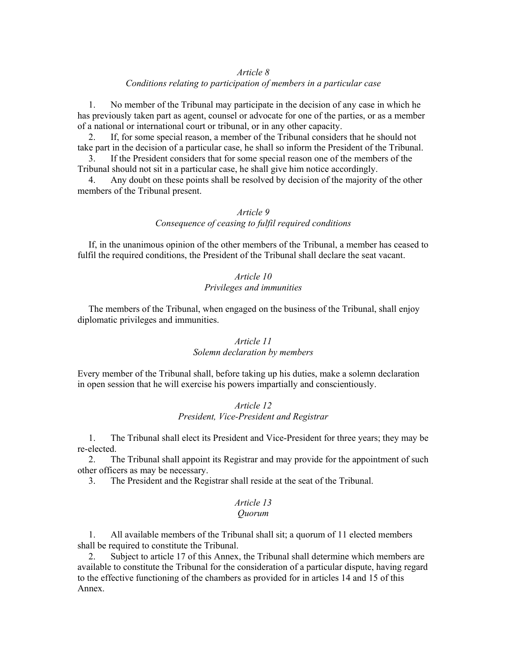## *Article 8*

## *Conditions relating to participation of members in a particular case*

1. No member of the Tribunal may participate in the decision of any case in which he has previously taken part as agent, counsel or advocate for one of the parties, or as a member of a national or international court or tribunal, or in any other capacity.

2. If, for some special reason, a member of the Tribunal considers that he should not take part in the decision of a particular case, he shall so inform the President of the Tribunal.

3. If the President considers that for some special reason one of the members of the Tribunal should not sit in a particular case, he shall give him notice accordingly.

4. Any doubt on these points shall be resolved by decision of the majority of the other members of the Tribunal present.

# *Article 9*

*Consequence of ceasing to fulfil required conditions* 

If, in the unanimous opinion of the other members of the Tribunal, a member has ceased to fulfil the required conditions, the President of the Tribunal shall declare the seat vacant.

## *Article 10 Privileges and immunities*

The members of the Tribunal, when engaged on the business of the Tribunal, shall enjoy diplomatic privileges and immunities.

# *Article 11 Solemn declaration by members*

Every member of the Tribunal shall, before taking up his duties, make a solemn declaration in open session that he will exercise his powers impartially and conscientiously.

## *Article 12 President, Vice-President and Registrar*

1. The Tribunal shall elect its President and Vice-President for three years; they may be re-elected.

2. The Tribunal shall appoint its Registrar and may provide for the appointment of such other officers as may be necessary.

3. The President and the Registrar shall reside at the seat of the Tribunal.

#### *Article 13 Quorum*

1. All available members of the Tribunal shall sit; a quorum of 11 elected members shall be required to constitute the Tribunal.

2. Subject to article 17 of this Annex, the Tribunal shall determine which members are available to constitute the Tribunal for the consideration of a particular dispute, having regard to the effective functioning of the chambers as provided for in articles 14 and 15 of this Annex.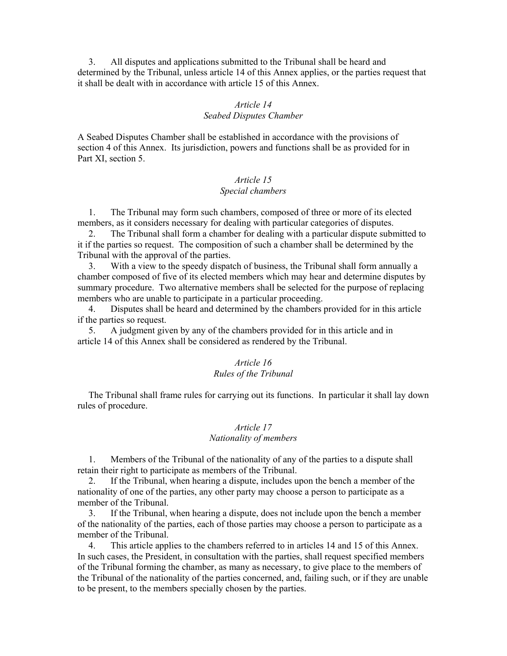3. All disputes and applications submitted to the Tribunal shall be heard and determined by the Tribunal, unless article 14 of this Annex applies, or the parties request that it shall be dealt with in accordance with article 15 of this Annex.

#### *Article 14 Seabed Disputes Chamber*

A Seabed Disputes Chamber shall be established in accordance with the provisions of section 4 of this Annex. Its jurisdiction, powers and functions shall be as provided for in Part XI, section 5.

## *Article 15 Special chambers*

1. The Tribunal may form such chambers, composed of three or more of its elected members, as it considers necessary for dealing with particular categories of disputes.

2. The Tribunal shall form a chamber for dealing with a particular dispute submitted to it if the parties so request. The composition of such a chamber shall be determined by the Tribunal with the approval of the parties.

3. With a view to the speedy dispatch of business, the Tribunal shall form annually a chamber composed of five of its elected members which may hear and determine disputes by summary procedure. Two alternative members shall be selected for the purpose of replacing members who are unable to participate in a particular proceeding.

4. Disputes shall be heard and determined by the chambers provided for in this article if the parties so request.

5. A judgment given by any of the chambers provided for in this article and in article 14 of this Annex shall be considered as rendered by the Tribunal.

## *Article 16 Rules of the Tribunal*

The Tribunal shall frame rules for carrying out its functions. In particular it shall lay down rules of procedure.

## *Article 17 Nationality of members*

1. Members of the Tribunal of the nationality of any of the parties to a dispute shall retain their right to participate as members of the Tribunal.

2. If the Tribunal, when hearing a dispute, includes upon the bench a member of the nationality of one of the parties, any other party may choose a person to participate as a member of the Tribunal.

3. If the Tribunal, when hearing a dispute, does not include upon the bench a member of the nationality of the parties, each of those parties may choose a person to participate as a member of the Tribunal.

4. This article applies to the chambers referred to in articles 14 and 15 of this Annex. In such cases, the President, in consultation with the parties, shall request specified members of the Tribunal forming the chamber, as many as necessary, to give place to the members of the Tribunal of the nationality of the parties concerned, and, failing such, or if they are unable to be present, to the members specially chosen by the parties.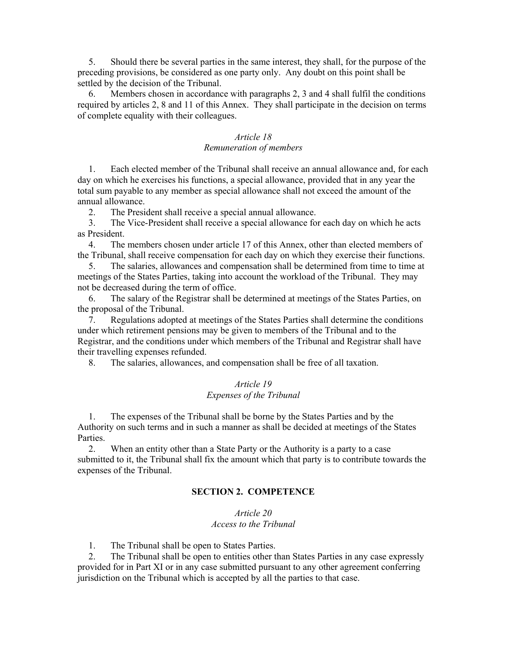5. Should there be several parties in the same interest, they shall, for the purpose of the preceding provisions, be considered as one party only. Any doubt on this point shall be settled by the decision of the Tribunal.

6. Members chosen in accordance with paragraphs 2, 3 and 4 shall fulfil the conditions required by articles 2, 8 and 11 of this Annex. They shall participate in the decision on terms of complete equality with their colleagues.

## *Article 18 Remuneration of members*

1. Each elected member of the Tribunal shall receive an annual allowance and, for each day on which he exercises his functions, a special allowance, provided that in any year the total sum payable to any member as special allowance shall not exceed the amount of the annual allowance.

2. The President shall receive a special annual allowance.

3. The Vice-President shall receive a special allowance for each day on which he acts as President.

4. The members chosen under article 17 of this Annex, other than elected members of the Tribunal, shall receive compensation for each day on which they exercise their functions.

5. The salaries, allowances and compensation shall be determined from time to time at meetings of the States Parties, taking into account the workload of the Tribunal. They may not be decreased during the term of office.

6. The salary of the Registrar shall be determined at meetings of the States Parties, on the proposal of the Tribunal.

7. Regulations adopted at meetings of the States Parties shall determine the conditions under which retirement pensions may be given to members of the Tribunal and to the Registrar, and the conditions under which members of the Tribunal and Registrar shall have their travelling expenses refunded.

8. The salaries, allowances, and compensation shall be free of all taxation.

#### *Article 19 Expenses of the Tribunal*

1. The expenses of the Tribunal shall be borne by the States Parties and by the Authority on such terms and in such a manner as shall be decided at meetings of the States Parties.

2. When an entity other than a State Party or the Authority is a party to a case submitted to it, the Tribunal shall fix the amount which that party is to contribute towards the expenses of the Tribunal.

## **SECTION 2. COMPETENCE**

# *Article 20 Access to the Tribunal*

1. The Tribunal shall be open to States Parties.

2. The Tribunal shall be open to entities other than States Parties in any case expressly provided for in Part XI or in any case submitted pursuant to any other agreement conferring jurisdiction on the Tribunal which is accepted by all the parties to that case.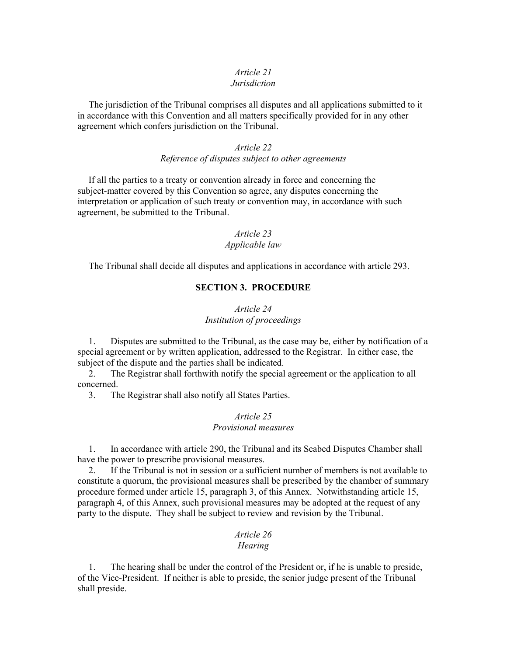#### *Article 21 Jurisdiction*

The jurisdiction of the Tribunal comprises all disputes and all applications submitted to it in accordance with this Convention and all matters specifically provided for in any other agreement which confers jurisdiction on the Tribunal.

## *Article 22 Reference of disputes subject to other agreements*

If all the parties to a treaty or convention already in force and concerning the subject-matter covered by this Convention so agree, any disputes concerning the interpretation or application of such treaty or convention may, in accordance with such agreement, be submitted to the Tribunal.

# *Article 23*

## *Applicable law*

The Tribunal shall decide all disputes and applications in accordance with article 293.

# **SECTION 3. PROCEDURE**

## *Article 24 Institution of proceedings*

1. Disputes are submitted to the Tribunal, as the case may be, either by notification of a special agreement or by written application, addressed to the Registrar. In either case, the subject of the dispute and the parties shall be indicated.

2. The Registrar shall forthwith notify the special agreement or the application to all concerned.

3. The Registrar shall also notify all States Parties.

## *Article 25 Provisional measures*

1. In accordance with article 290, the Tribunal and its Seabed Disputes Chamber shall have the power to prescribe provisional measures.

2. If the Tribunal is not in session or a sufficient number of members is not available to constitute a quorum, the provisional measures shall be prescribed by the chamber of summary procedure formed under article 15, paragraph 3, of this Annex. Notwithstanding article 15, paragraph 4, of this Annex, such provisional measures may be adopted at the request of any party to the dispute. They shall be subject to review and revision by the Tribunal.

# *Article 26*

#### *Hearing*

1. The hearing shall be under the control of the President or, if he is unable to preside, of the Vice-President. If neither is able to preside, the senior judge present of the Tribunal shall preside.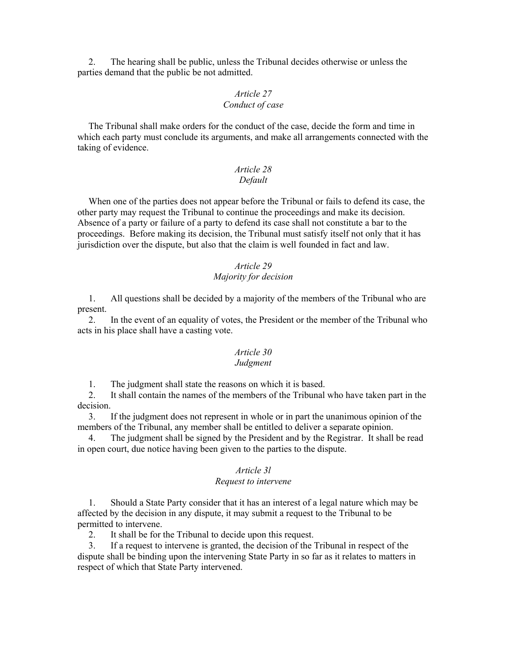2. The hearing shall be public, unless the Tribunal decides otherwise or unless the parties demand that the public be not admitted.

## *Article 27 Conduct of case*

The Tribunal shall make orders for the conduct of the case, decide the form and time in which each party must conclude its arguments, and make all arrangements connected with the taking of evidence.

## *Article 28 Default*

When one of the parties does not appear before the Tribunal or fails to defend its case, the other party may request the Tribunal to continue the proceedings and make its decision. Absence of a party or failure of a party to defend its case shall not constitute a bar to the proceedings. Before making its decision, the Tribunal must satisfy itself not only that it has jurisdiction over the dispute, but also that the claim is well founded in fact and law.

## *Article 29 Majority for decision*

1. All questions shall be decided by a majority of the members of the Tribunal who are present.

2. In the event of an equality of votes, the President or the member of the Tribunal who acts in his place shall have a casting vote.

# *Article 30*

## *Judgment*

1. The judgment shall state the reasons on which it is based.

2. It shall contain the names of the members of the Tribunal who have taken part in the decision.

3. If the judgment does not represent in whole or in part the unanimous opinion of the members of the Tribunal, any member shall be entitled to deliver a separate opinion.

4. The judgment shall be signed by the President and by the Registrar. It shall be read in open court, due notice having been given to the parties to the dispute.

#### *Article 3l*

#### *Request to intervene*

1. Should a State Party consider that it has an interest of a legal nature which may be affected by the decision in any dispute, it may submit a request to the Tribunal to be permitted to intervene.

2. It shall be for the Tribunal to decide upon this request.

3. If a request to intervene is granted, the decision of the Tribunal in respect of the dispute shall be binding upon the intervening State Party in so far as it relates to matters in respect of which that State Party intervened.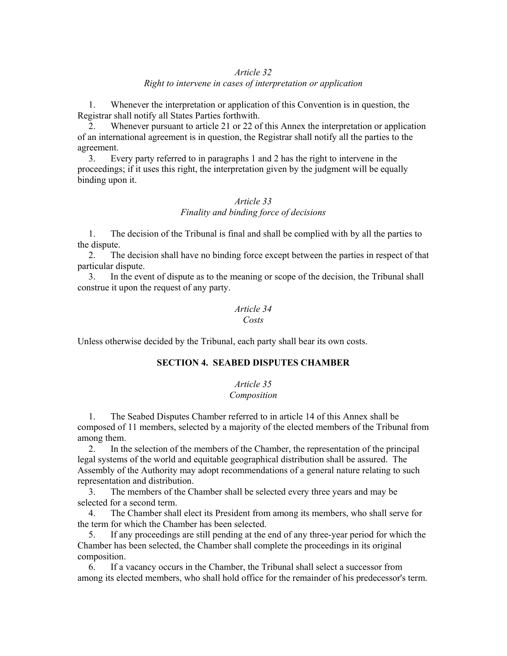## *Article 32 Right to intervene in cases of interpretation or application*

1. Whenever the interpretation or application of this Convention is in question, the Registrar shall notify all States Parties forthwith.

2. Whenever pursuant to article 21 or 22 of this Annex the interpretation or application of an international agreement is in question, the Registrar shall notify all the parties to the agreement.

3. Every party referred to in paragraphs 1 and 2 has the right to intervene in the proceedings; if it uses this right, the interpretation given by the judgment will be equally binding upon it.

# *Article 33 Finality and binding force of decisions*

1. The decision of the Tribunal is final and shall be complied with by all the parties to the dispute.

2. The decision shall have no binding force except between the parties in respect of that particular dispute.

3. In the event of dispute as to the meaning or scope of the decision, the Tribunal shall construe it upon the request of any party.

## *Article 34 Costs*

Unless otherwise decided by the Tribunal, each party shall bear its own costs.

#### **SECTION 4. SEABED DISPUTES CHAMBER**

# *Article 35*

## *Composition*

1. The Seabed Disputes Chamber referred to in article 14 of this Annex shall be composed of 11 members, selected by a majority of the elected members of the Tribunal from among them.

2. In the selection of the members of the Chamber, the representation of the principal legal systems of the world and equitable geographical distribution shall be assured. The Assembly of the Authority may adopt recommendations of a general nature relating to such representation and distribution.

3. The members of the Chamber shall be selected every three years and may be selected for a second term.

4. The Chamber shall elect its President from among its members, who shall serve for the term for which the Chamber has been selected.

5. If any proceedings are still pending at the end of any three-year period for which the Chamber has been selected, the Chamber shall complete the proceedings in its original composition.

6. If a vacancy occurs in the Chamber, the Tribunal shall select a successor from among its elected members, who shall hold office for the remainder of his predecessor's term.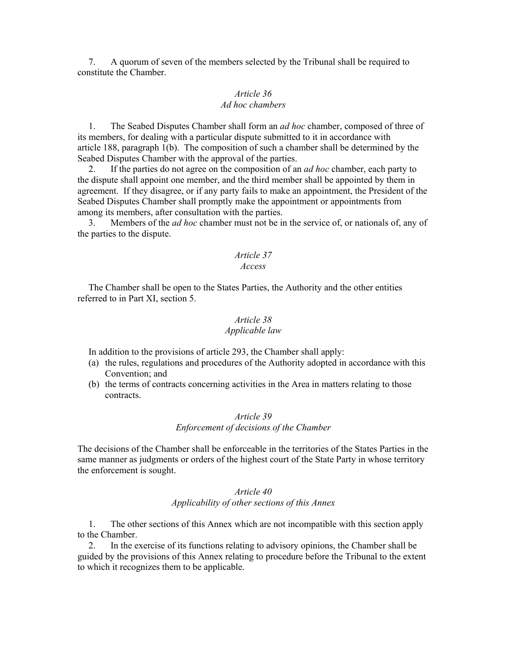7. A quorum of seven of the members selected by the Tribunal shall be required to constitute the Chamber.

## *Article 36 Ad hoc chambers*

1. The Seabed Disputes Chamber shall form an *ad hoc* chamber, composed of three of its members, for dealing with a particular dispute submitted to it in accordance with article 188, paragraph 1(b). The composition of such a chamber shall be determined by the Seabed Disputes Chamber with the approval of the parties.

2. If the parties do not agree on the composition of an *ad hoc* chamber, each party to the dispute shall appoint one member, and the third member shall be appointed by them in agreement. If they disagree, or if any party fails to make an appointment, the President of the Seabed Disputes Chamber shall promptly make the appointment or appointments from among its members, after consultation with the parties.

3. Members of the *ad hoc* chamber must not be in the service of, or nationals of, any of the parties to the dispute.

# *Article 37*

# *Access*

The Chamber shall be open to the States Parties, the Authority and the other entities referred to in Part XI, section 5.

## *Article 38 Applicable law*

In addition to the provisions of article 293, the Chamber shall apply:

- (a) the rules, regulations and procedures of the Authority adopted in accordance with this Convention; and
- (b) the terms of contracts concerning activities in the Area in matters relating to those contracts.

## *Article 39 Enforcement of decisions of the Chamber*

The decisions of the Chamber shall be enforceable in the territories of the States Parties in the same manner as judgments or orders of the highest court of the State Party in whose territory the enforcement is sought.

# *Article 40 Applicability of other sections of this Annex*

1. The other sections of this Annex which are not incompatible with this section apply to the Chamber.

2. In the exercise of its functions relating to advisory opinions, the Chamber shall be guided by the provisions of this Annex relating to procedure before the Tribunal to the extent to which it recognizes them to be applicable.